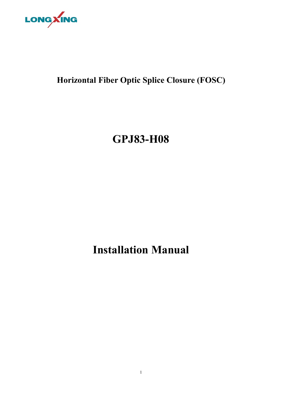

## **Horizontal Fiber Optic Splice Closure (FOSC)**

# **GPJ83-H08**

## **Installation Manual**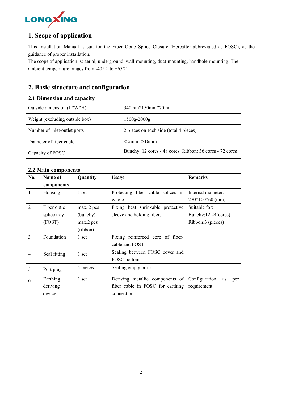

## **1. Scope of application**

This Installation Manual is suit for the Fiber Optic Splice Closure (Hereafter abbreviated as FOSC), as the guidance of proper installation.

The scope of application is: aerial, underground, wall-mounting, duct-mounting, handhole-mounting. The ambient temperature ranges from -40℃ to +65℃.

## **2. Basic structure and configuration**

#### **2.1 Dimension and capacity**

| Outside dimension $(L*W*H)$    | 340mm*150mm*70mm                                         |
|--------------------------------|----------------------------------------------------------|
| Weight (excluding outside box) | $1500g-2000g$                                            |
| Number of inlet/outlet ports   | 2 pieces on each side (total 4 pieces)                   |
| Diameter of fiber cable        | $\Phi$ 5mm- $\Phi$ 16mm                                  |
| Capacity of FOSC               | Bunchy: 12 cores - 48 cores; Ribbon: 36 cores - 72 cores |

## **2.2 Main components**

| No.            | Name of      | Quantity   | <b>Remarks</b><br><b>Usage</b>    |                            |
|----------------|--------------|------------|-----------------------------------|----------------------------|
|                | components   |            |                                   |                            |
| $\mathbf{1}$   | Housing      | 1 set      | Protecting fiber cable splices in | Internal diameter:         |
|                |              |            | whole                             | $270*100*60$ (mm)          |
| $\overline{2}$ | Fiber optic  | max. 2 pcs | Fixing heat shrinkable protective | Suitable for:              |
|                | splice tray  | (bunchy)   | sleeve and holding fibers         | Bunchy:12,24(cores)        |
|                | (FOST)       | max.2 pcs  |                                   | Ribbon:3 (pieces)          |
|                |              | (ribbon)   |                                   |                            |
| 3              | Foundation   | 1 set      | Fixing reinforced core of fiber-  |                            |
|                |              |            | cable and FOST                    |                            |
| $\overline{4}$ | Seal fitting | 1 set      | Sealing between FOSC cover and    |                            |
|                |              |            | FOSC bottom                       |                            |
| 5              | Port plug    | 4 pieces   | Sealing empty ports               |                            |
| 6              | Earthing     | 1 set      | Deriving metallic components of   | Configuration<br>as<br>per |
|                | deriving     |            | fiber cable in FOSC for earthing  | requirement                |
|                | device       |            | connection                        |                            |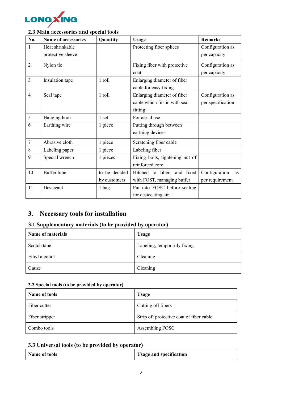

## **2.3 Main accessories and special tools**

| No.            | Name of accessories | Quantity      | <b>Usage</b>                    | <b>Remarks</b>      |
|----------------|---------------------|---------------|---------------------------------|---------------------|
| 1              | Heat shrinkable     |               | Protecting fiber splices        | Configuration as    |
|                | protective sleeve   |               |                                 | per capacity        |
| 2              | Nylon tie           |               | Fixing fiber with protective    | Configuration as    |
|                |                     |               | coat                            | per capacity        |
| 3              | Insulation tape     | 1 roll        | Enlarging diameter of fiber     |                     |
|                |                     |               | cable for easy fixing           |                     |
| 4              | Seal tape           | 1 roll        | Enlarging diameter of fiber     | Configuration as    |
|                |                     |               | cable which fits in with seal   | per specification   |
|                |                     |               | fitting                         |                     |
| 5              | Hanging hook        | 1 set         | For aerial use                  |                     |
| 6              | Earthing wire       | 1 piece       | Putting through between         |                     |
|                |                     |               | earthing devices                |                     |
| $\overline{7}$ | Abrasive cloth      | 1 piece       | Scratching fiber cable          |                     |
| 8              | Labeling paper      | 1 piece       | Labeling fiber                  |                     |
| 9              | Special wrench      | 1 pieces      | Fixing bolts, tightening nut of |                     |
|                |                     |               | reinforced core                 |                     |
| 10             | Buffer tube         | to be decided | Hitched to fibers and fixed     | Configuration<br>as |
|                |                     | by customers  | with FOST, managing buffer      | per requirement     |
| 11             | Desiccant           | 1 bag         | Put into FOSC before sealing    |                     |
|                |                     |               | for desiccating air.            |                     |

## **3. Necessary tools for installation**

## **3.1 Supplementary materials (to be provided by operator)**

| <b>Name of materials</b> | <b>Usage</b>                 |
|--------------------------|------------------------------|
| Scotch tape              | Labeling, temporarily fixing |
| Ethyl alcohol            | Cleaning                     |
| Gauze                    | Cleaning                     |

## **3.2 Special tools (to be provided by operator)**

| Name of tools  | <b>Usage</b>                             |
|----------------|------------------------------------------|
| Fiber cutter   | Cutting off fibers                       |
| Fiber stripper | Strip off protective coat of fiber cable |
| Combo tools    | Assembling FOSC                          |

## **3.3 Universal tools (to be provided by operator)**

| <b>Usage and specification</b><br>Name of tools |  |  |  |  |  |  |
|-------------------------------------------------|--|--|--|--|--|--|
|-------------------------------------------------|--|--|--|--|--|--|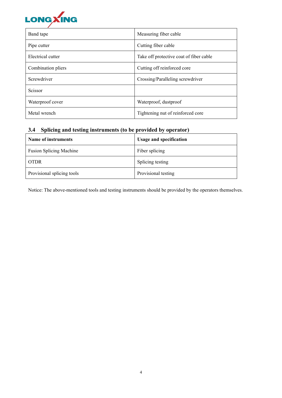

| Band tape          | Measuring fiber cable                   |
|--------------------|-----------------------------------------|
| Pipe cutter        | Cutting fiber cable                     |
| Electrical cutter  | Take off protective coat of fiber cable |
| Combination pliers | Cutting off reinforced core             |
| Screwdriver        | Crossing/Paralleling screwdriver        |
| Scissor            |                                         |
| Waterproof cover   | Waterproof, dustproof                   |
| Metal wrench       | Tightening nut of reinforced core       |

## **3.4 Splicing and testing instruments (to be provided by operator)**

| Name of instruments            | <b>Usage and specification</b> |
|--------------------------------|--------------------------------|
| <b>Fusion Splicing Machine</b> | Fiber splicing                 |
| <b>OTDR</b>                    | Splicing testing               |
| Provisional splicing tools     | Provisional testing            |

Notice: The above-mentioned tools and testing instruments should be provided by the operators themselves.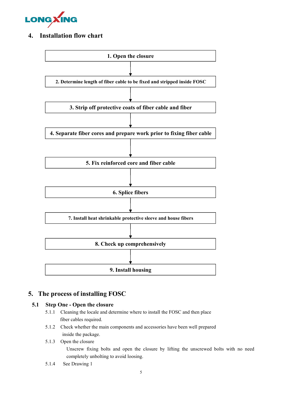

## **4. Installation flow chart**



## **5. The process of installing FOSC**

#### **5.1 Step One - Open the closure**

- 5.1.1 Cleaning the locale and determine where to install the FOSC and then place fiber cables required.
- 5.1.2 Check whether the main components and accessories have been well prepared inside the package.

#### 5.1.3 Open the closure

Unscrew fixing bolts and open the closure by lifting the unscrewed bolts with no need completely unbolting to avoid loosing.

5.1.4 See Drawing 1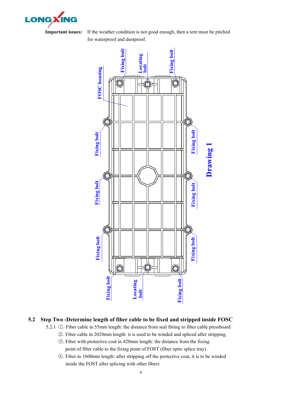

**Important issues:** If the weather condition is not good enough, then a tent must be pitched for waterproof and dustproof.



## **5.2 Step Two -Determine length of fiber cable to be fixed and stripped inside FOSC**

5.2.1 ①. Fiber cable in 55mm length: the distance from seal fitting to fibercable pressboard

- ②. Fiber cable in 2020mm length: it is used to be winded and spliced after stripping.
- ③. Fiber with protective coat in 420mm length: the distance from the fixing point of fiber cable to the fixing point of FOST (fiber optic splice tray).
- ④. Fiber in 1600mm length: after stripping off the protective coat, it is to be winded inside the FOST after splicing with other fibers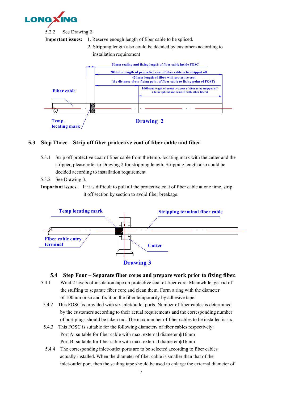

5.2.2 See Drawing 2

**Important issues:** 1. Reserve enough length of fiber cable to be spliced.

2. Stripping length also could be decided by customers according to installation requirement



## **5.3 Step Three – Strip off fiber protective coat of fiber cable and fiber**

- 5.3.1 Strip off protective coat of fiber cable from the temp. locating mark with the cutter and the stripper, please refer to Drawing 2 for stripping length. Stripping length also could be decided according to installation requirement
- 5.3.2 See Drawing 3.

**Important issues**: If it is difficult to pull all the protective coat of fiber cable at one time, strip it off section by section to avoid fiber breakage.



## **5.4 Step Four – Separate fiber cores and prepare work prior to fixing fiber.**

- 5.4.1 Wind 2 layers of insulation tape on protective coat of fiber core. Meanwhile, get rid of the stuffing to separate fiber core and clean them. Form a ring with the diameter of 100mm or so and fix it on the fiber temporarily by adhesive tape.
- 5.4.2 This FOSC is provided with six inlet/outlet ports. Number of fiber cables is determined by the customers according to theiractual requirements and the corresponding number of port plugs should be taken out. The max number of fiber cables to be installed is six.
- 5.4.3 This FOSC is suitable for the following diameters of fiber cables respectively: Port A: suitable for fiber cable with max. external diameter ф16mm Port B: suitable for fiber cable with max. external diameter ф16mm
- 5.4.4 The corresponding inlet/outlet ports are to be selected according to fibercables actually installed. When the diameter of fiber cable is smaller than that of the inlet/outlet port, then the sealing tape should be used to enlarge the external diameter of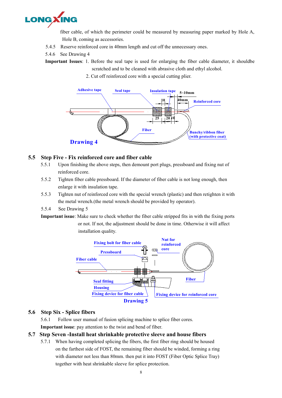![](_page_7_Picture_0.jpeg)

fiber cable, of which the perimeter could be measured by measuring paper marked by Hole A, Hole B, coming as accessories.

- 5.4.5 Reserve reinforced core in 40mm length and cut off the unnecessary ones.
- 5.4.6 See Drawing 4

**Important Issues**: 1. Before the seal tape is used for enlarging the fiber cable diameter, it shouldbe scratched and to be cleaned with abrasive cloth and ethyl alcohol.

2. Cut off reinforced core with a special cutting plier.

![](_page_7_Figure_6.jpeg)

#### **5.5 Step Five - Fix reinforced core and fiber cable**

- 5.5.1 Upon finishing the above steps, then demount port plugs, pressboard and fixing nut of reinforced core.
- 5.5.2 Tighten fiber cable pressboard. If the diameter of fiber cable is not long enough, then enlarge it with insulation tape.
- 5.5.3 Tighten nut of reinforced core with the special wrench (plastic) and then retighten it with the metal wrench.(the metal wrench should be provided by operator).
- 5.5.4 See Drawing 5
- **Important issue**: Make sure to check whether the fiber cable stripped fits in with the fixing ports or not. If not, the adjustment should be done in time. Otherwise it will affect installation quality.

![](_page_7_Figure_13.jpeg)

#### **5.6 Step Six - Splice fibers**

5.6.1 Follow user manual of fusion splicing machine to splice fiber cores. **Important issue**: pay attention to the twist and bend of fiber.

#### **5.7 Step Seven -Install heat shrinkable protective sleeve and house fibers**

5.7.1 When having completed splicing the fibers, the first fiber ring should be housed on the farthest side of FOST, the remaining fiber should be winded, forming a ring with diameter not less than 80mm, then put it into FOST (Fiber Optic Splice Tray) together with heat shrinkable sleeve for splice protection.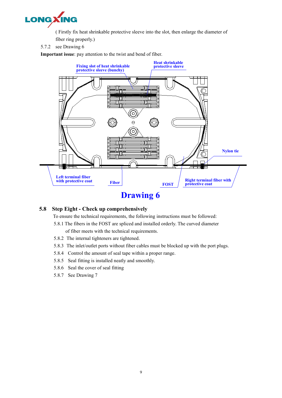![](_page_8_Picture_0.jpeg)

( Firstly fix heat shrinkable protective sleeve into the slot, then enlarge the diameter of

- fiber ring properly.)
- 5.7.2 see Drawing 6

**Important issue**: pay attention to the twist and bend of fiber.

![](_page_8_Figure_5.jpeg)

#### **5.8 Step Eight - Check up comprehensively**

To ensure the technical requirements, the following instructions mustbe followed:

- 5.8.1 The fibers in the FOST are spliced and installed orderly. The curved diameter
- of fiber meets with the technical requirements.
- 5.8.2 The internal tighteners are tightened.
- 5.8.3 The inlet/outlet ports without fiber cables must be blocked up with the port plugs.
- 5.8.4 Control the amount of seal tape within a proper range.
- 5.8.5 Seal fitting is installed neatly and smoothly.
- 5.8.6 Seal the cover of seal fitting
- 5.8.7 See Drawing 7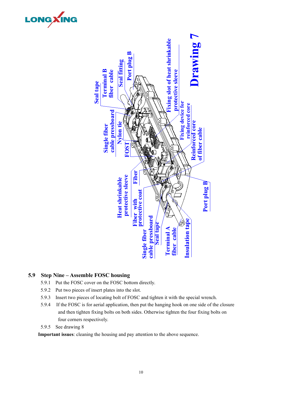![](_page_9_Picture_0.jpeg)

#### **5.9 Step Nine – Assemble FOSC housing**

- 5.9.1 Put the FOSC cover on the FOSC bottom directly.
- 5.9.2 Put two pieces of insert plates into the slot.
- 5.9.3 Insert two pieces of locating bolt of FOSC and tighten it with the special wrench.
- 5.9.4 If the FOSC is for aerial application, then put the hanging hook on one side of the closure and then tighten fixing bolts on both sides. Otherwise tighten the four fixing bolts on four corners respectively.
- 5.9.5 See drawing 8

LONGXING

**Important issues**: cleaning the housing and pay attention to the above sequence.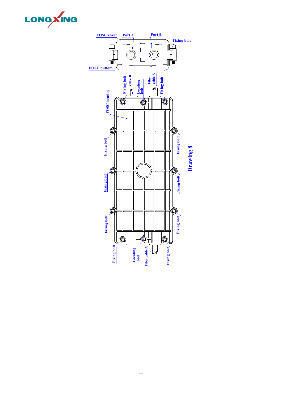![](_page_10_Picture_0.jpeg)

![](_page_10_Figure_1.jpeg)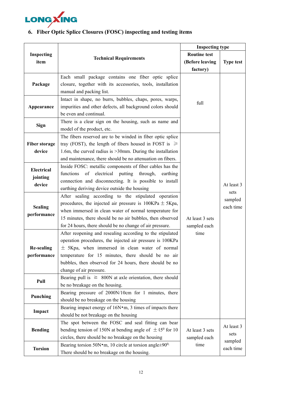![](_page_11_Picture_0.jpeg)

|  | 6. Fiber Optic Splice Closures (FOSC) inspecting and testing items |  |
|--|--------------------------------------------------------------------|--|
|--|--------------------------------------------------------------------|--|

|                      |                                                                            | <b>Inspecting type</b> |                  |  |
|----------------------|----------------------------------------------------------------------------|------------------------|------------------|--|
| Inspecting           | <b>Technical Requirements</b>                                              | <b>Routine test</b>    |                  |  |
| item                 |                                                                            | (Before leaving        | <b>Type test</b> |  |
|                      |                                                                            | factory)               |                  |  |
|                      | Each small package contains one fiber optic splice                         |                        |                  |  |
| Package              | closure, together with its accessories, tools, installation                |                        |                  |  |
|                      | manual and packing list.                                                   |                        |                  |  |
|                      | Intact in shape, no burrs, bubbles, chaps, pores, warps,                   | full                   |                  |  |
| Appearance           | impurities and other defects, all background colors should                 |                        |                  |  |
|                      | be even and continual.                                                     |                        |                  |  |
| <b>Sign</b>          | There is a clear sign on the housing, such as name and                     |                        |                  |  |
|                      | model of the product, etc.                                                 |                        |                  |  |
|                      | The fibers reserved are to be winded in fiber optic splice                 |                        |                  |  |
| <b>Fiber storage</b> | tray (FOST), the length of fibers housed in FOST is $\geq$                 |                        |                  |  |
| device               | 1.6m, the curved radius is $>30$ mm. During the installation               |                        |                  |  |
|                      | and maintenance, there should be no attenuation on fibers.                 |                        |                  |  |
| Electrical           | Inside FOSC: metallic components of fiber cables has the                   |                        |                  |  |
| jointing             | functions of electrical putting through,<br>earthing                       |                        |                  |  |
| device               | connection and disconnecting. It is possible to install                    |                        | At least 3       |  |
|                      | earthing deriving device outside the housing                               |                        | sets             |  |
|                      | After sealing according to the stipulated operation                        |                        | sampled          |  |
| <b>Sealing</b>       | procedures, the injected air pressure is $100\text{KPa} \pm 5\text{Kpa}$ , |                        | each time        |  |
|                      | when immersed in clean water of normal temperature for                     |                        |                  |  |
| performance          | 15 minutes, there should be no air bubbles, then observed                  | At least 3 sets        |                  |  |
|                      | for 24 hours, there should be no change of air pressure.                   | sampled each           |                  |  |
|                      | After reopening and resealing according to the stipulated                  | time                   |                  |  |
|                      | operation procedures, the injected air pressure is 100KPa                  |                        |                  |  |
| <b>Re-sealing</b>    | $\pm$ 5Kpa, when immersed in clean water of normal                         |                        |                  |  |
| performance          | temperature for 15 minutes, there should be no air                         |                        |                  |  |
|                      | bubbles, then observed for 24 hours, there should be no                    |                        |                  |  |
|                      | change of air pressure.                                                    |                        |                  |  |
| Pull                 | Bearing pull is $\geq$ 800N at axle orientation, there should              |                        |                  |  |
|                      | be no breakage on the housing.                                             |                        |                  |  |
|                      | Bearing pressure of 2000N/10cm for 1 minutes, there                        |                        |                  |  |
| Punching             | should be no breakage on the housing                                       |                        |                  |  |
|                      | Bearing impact energy of 16N·m, 3 times of impacts there                   |                        |                  |  |
| Impact               | should be not breakage on the housing                                      |                        |                  |  |
|                      | The spot between the FOSC and seal fitting can bear                        |                        |                  |  |
| <b>Bending</b>       | bending tension of 150N at bending angle of $\pm 45^{\circ}$ for 10        | At least 3 sets        | At least 3       |  |
|                      | circles, there should be no breakage on the housing                        | sampled each           | sets             |  |
|                      | Bearing torsion 50N $\cdot$ m, 10 circle at torsion angle±90 <sup>0,</sup> | time                   | sampled          |  |
| <b>Torsion</b>       | There should be no breakage on the housing.                                |                        | each time        |  |